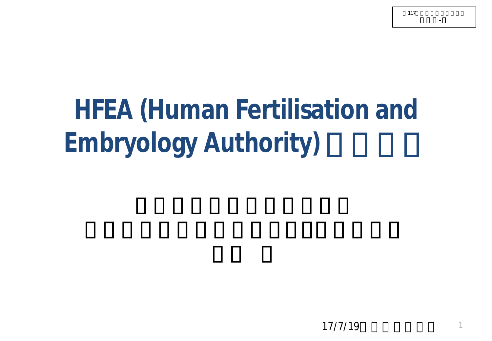**HFEA (Human Fertilisation and** 

# **Embryology Authority)**

117

資料2-2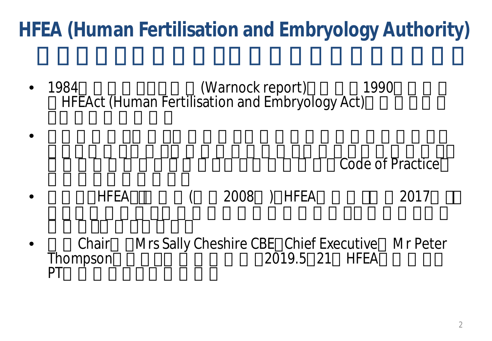### **HFEA (Human Fertilisation and Embryology Authority)**

• 1984 (Warnock report)<br>HFEAct (Human Fertilisation and Embryology Act)

**Code of Practice** Code of Practice

• FIFEACTO ( 2008 ) HFEA 2017

 $\bullet$ 

Chair Mrs Sally Cheshire CBE Chief Executive Mr Peter<br>Thompson 2019.5 21 HFEA Thompson 2019.5 21 HFEA<br>PT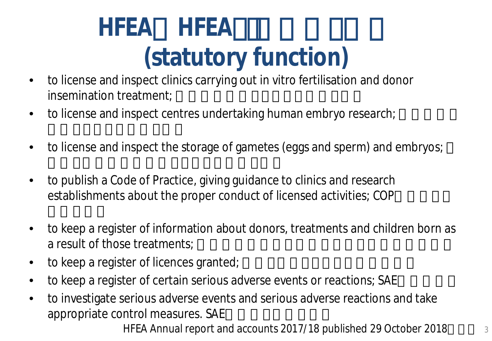# **HFEA (statutory function)**

- to license and inspect clinics carrying out in vitro fertilisation and donor insemination treatment;
- to license and inspect centres undertaking human embryo research;
- to license and inspect the storage of gametes (eggs and sperm) and embryos;
- to publish a Code of Practice, giving guidance to clinics and research establishments about the proper conduct of licensed activities; COP
- to keep a register of information about donors, treatments and children born as a result of those treatments;
- to keep a register of licences granted;
- to keep a register of certain serious adverse events or reactions; SAE
- to investigate serious adverse events and serious adverse reactions and take appropriate control measures. SAE

HFEA Annual report and accounts 2017/18 published 29 October 2018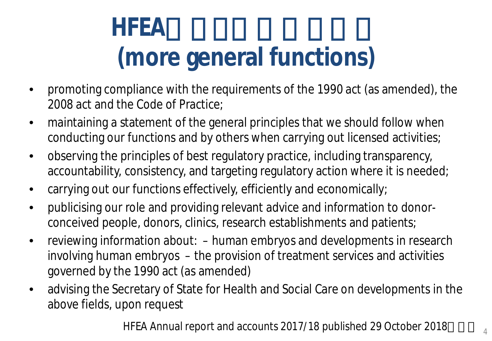# HFEA **(more general functions)**

- promoting compliance with the requirements of the 1990 act (as amended), the 2008 act and the Code of Practice;
- maintaining a statement of the general principles that we should follow when conducting our functions and by others when carrying out licensed activities;
- observing the principles of best regulatory practice, including transparency, accountability, consistency, and targeting regulatory action where it is needed;
- carrying out our functions effectively, efficiently and economically;
- publicising our role and providing relevant advice and information to donorconceived people, donors, clinics, research establishments and patients;
- reviewing information about: human embryos and developments in research involving human embryos – the provision of treatment services and activities governed by the 1990 act (as amended)
- advising the Secretary of State for Health and Social Care on developments in the above fields, upon request

HFEA Annual report and accounts 2017/18 published 29 October 2018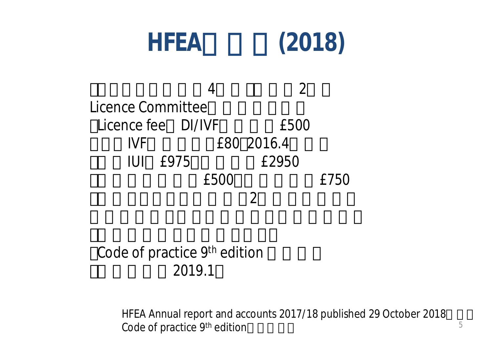

### Code of practice  $9<sup>th</sup>$  edition (最終改訂は2019.1

HFEA Annual report and accounts 2017/18 published 29 October 2018 Code of practice 9<sup>th</sup> edition **5**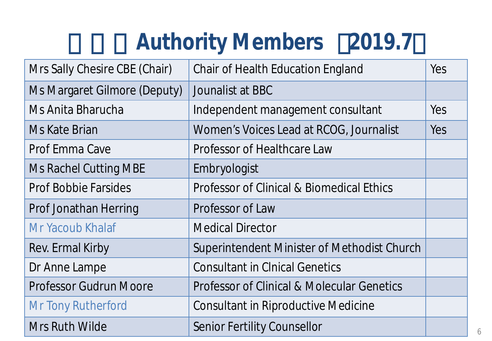## **Authority Members 2019.7**

| Mrs Sally Chesire CBE (Chair) | <b>Chair of Health Education England</b>              | Yes        |
|-------------------------------|-------------------------------------------------------|------------|
| Ms Margaret Gilmore (Deputy)  | Jounalist at BBC                                      |            |
| Ms Anita Bharucha             | Independent management consultant                     | <b>Yes</b> |
| Ms Kate Brian                 | Women's Voices Lead at RCOG, Journalist               | Yes        |
| Prof Emma Cave                | Professor of Healthcare Law                           |            |
| <b>Ms Rachel Cutting MBE</b>  | Embryologist                                          |            |
| <b>Prof Bobbie Farsides</b>   | <b>Professor of Clinical &amp; Biomedical Ethics</b>  |            |
| <b>Prof Jonathan Herring</b>  | Professor of Law                                      |            |
| Mr Yacoub Khalaf              | <b>Medical Director</b>                               |            |
| Rev. Ermal Kirby              | Superintendent Minister of Methodist Church           |            |
| Dr Anne Lampe                 | <b>Consultant in Cinical Genetics</b>                 |            |
| <b>Professor Gudrun Moore</b> | <b>Professor of Clinical &amp; Molecular Genetics</b> |            |
| Mr Tony Rutherford            | <b>Consultant in Riproductive Medicine</b>            |            |
| Mrs Ruth Wilde                | <b>Senior Fertility Counsellor</b>                    |            |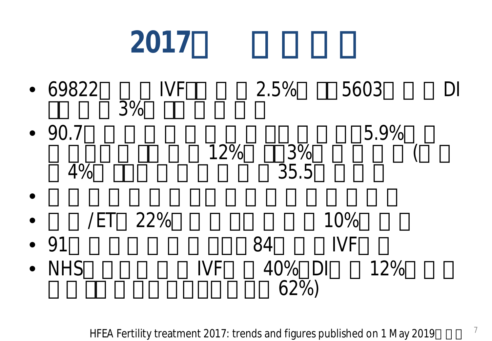# **2017**の英国データ

• 69822 IVF 2.5% 5603 DI • 90.7<br>4% 12%  $3\%$  5.9%<br>35.5  $\bullet$ •  $/ET$  22% 10% • 91 84 IVF • NHS  $\begin{array}{ccc} \bullet & \text{NHS} & \text{IVF} & 40\% & \text{DI} & 12\% \\ 62\% & & \\ \end{array}$ 

HFEA Fertility treatment 2017: trends and figures published on 1 May 2019  $10^{7}$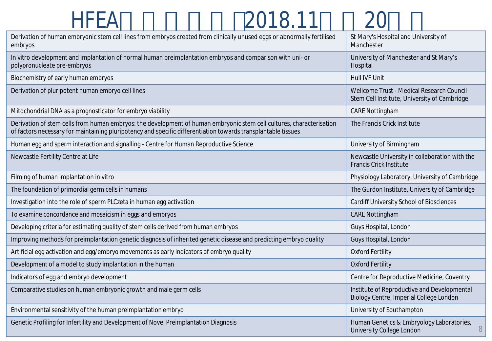### HFEA 2018.11 20

| Derivation of human embryonic stem cell lines from embryos created from clinically unused eggs or abnormally fertilised<br>embryos                                                                                                    | St Mary's Hospital and University of<br>Manchester                                        |  |
|---------------------------------------------------------------------------------------------------------------------------------------------------------------------------------------------------------------------------------------|-------------------------------------------------------------------------------------------|--|
| In vitro development and implantation of normal human preimplantation embryos and comparison with uni- or<br>polypronucleate pre-embryos                                                                                              | University of Manchester and St Mary's<br>Hospital                                        |  |
| Biochemistry of early human embryos                                                                                                                                                                                                   | Hull IVF Unit                                                                             |  |
| Derivation of pluripotent human embryo cell lines                                                                                                                                                                                     | Wellcome Trust - Medical Research Council<br>Stem Cell Institute, University of Cambridge |  |
| Mitochondrial DNA as a prognosticator for embryo viability                                                                                                                                                                            | <b>CARE Nottingham</b>                                                                    |  |
| Derivation of stem cells from human embryos: the development of human embryonic stem cell cultures, characterisation<br>of factors necessary for maintaining pluripotency and specific differentiation towards transplantable tissues | The Francis Crick Institute                                                               |  |
| Human egg and sperm interaction and signalling - Centre for Human Reproductive Science                                                                                                                                                | University of Birmingham                                                                  |  |
| Newcastle Fertility Centre at Life                                                                                                                                                                                                    | Newcastle University in collaboration with the<br>Francis Crick Institute                 |  |
| Filming of human implantation in vitro                                                                                                                                                                                                | Physiology Laboratory, University of Cambridge                                            |  |
| The foundation of primordial germ cells in humans                                                                                                                                                                                     | The Gurdon Institute, University of Cambridge                                             |  |
| Investigation into the role of sperm PLCzeta in human egg activation                                                                                                                                                                  | <b>Cardiff University School of Biosciences</b>                                           |  |
| To examine concordance and mosaicism in eggs and embryos                                                                                                                                                                              | <b>CARE Nottingham</b>                                                                    |  |
| Developing criteria for estimating quality of stem cells derived from human embryos                                                                                                                                                   | Guys Hospital, London                                                                     |  |
| Improving methods for preimplantation genetic diagnosis of inherited genetic disease and predicting embryo quality                                                                                                                    | Guys Hospital, London                                                                     |  |
| Artificial egg activation and egg/embryo movements as early indicators of embryo quality                                                                                                                                              | <b>Oxford Fertility</b>                                                                   |  |
| Development of a model to study implantation in the human                                                                                                                                                                             | <b>Oxford Fertility</b>                                                                   |  |
| Indicators of egg and embryo development                                                                                                                                                                                              | Centre for Reproductive Medicine, Coventry                                                |  |
| Comparative studies on human embryonic growth and male germ cells                                                                                                                                                                     | Institute of Reproductive and Developmental<br>Biology Centre, Imperial College London    |  |
| Environmental sensitivity of the human preimplantation embryo                                                                                                                                                                         | University of Southampton                                                                 |  |
| Genetic Profiling for Infertility and Development of Novel Preimplantation Diagnosis                                                                                                                                                  | Human Genetics & Embryology Laboratories,<br>8<br>University College London               |  |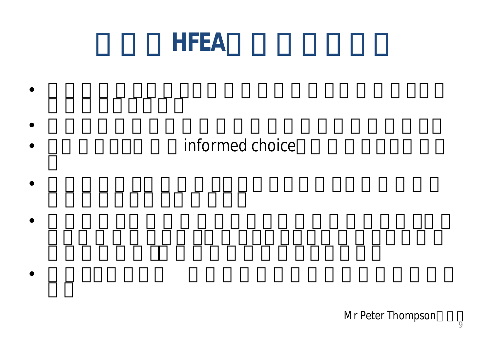### HFEA

### informed choice

 $\bullet$  the set of the set of the set of the set of the set of the set of the set of the set of the set of the set of the set of the set of the set of the set of the set of the set of the set of the set of the set of the set

 $\bullet$ 

 $\bullet$ 

 $\bullet$ 

 $\bullet$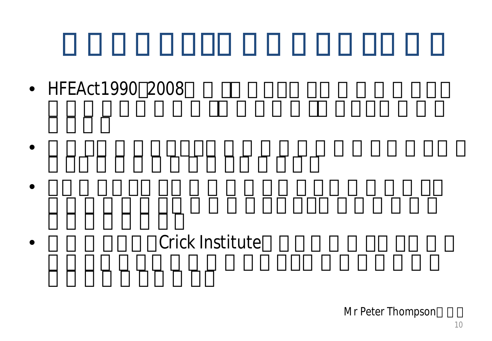• HFEAct1990 2008

### Crick Institute

 $\bullet$ 

 $\bullet$ 

Mr Peter Thompson